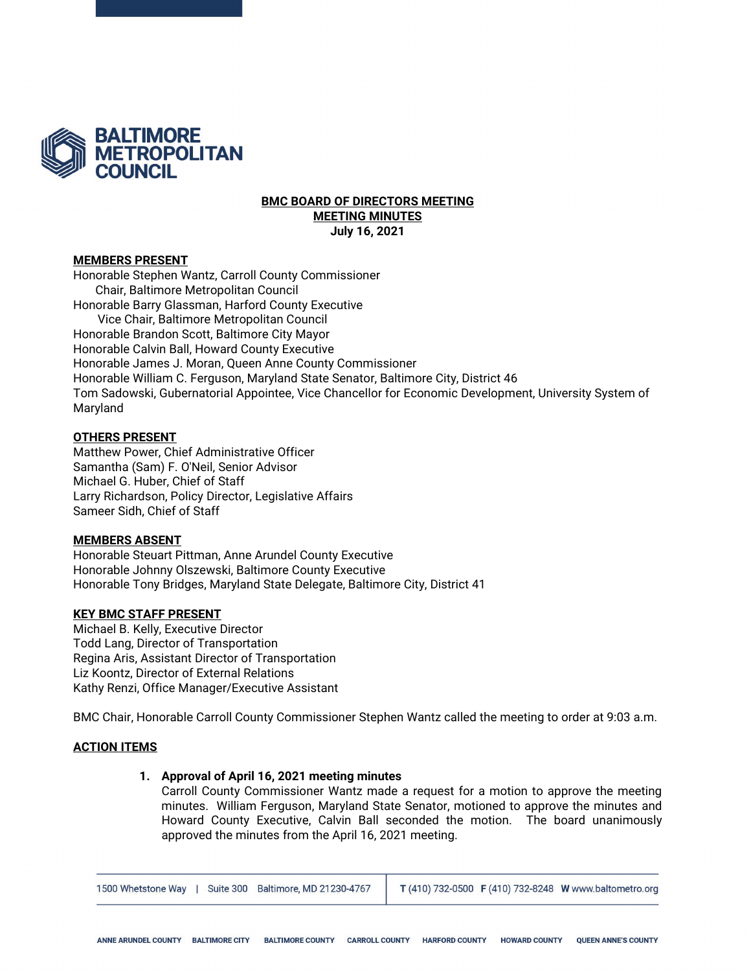

### **BMC BOARD OF DIRECTORS MEETING MEETING MINUTES July 16, 2021**

### **MEMBERS PRESENT**

Honorable Stephen Wantz, Carroll County Commissioner Chair, Baltimore Metropolitan Council Honorable Barry Glassman, Harford County Executive Vice Chair, Baltimore Metropolitan Council Honorable Brandon Scott, Baltimore City Mayor Honorable Calvin Ball, Howard County Executive Honorable James J. Moran, Queen Anne County Commissioner Honorable William C. Ferguson, Maryland State Senator, Baltimore City, District 46 Tom Sadowski, Gubernatorial Appointee, Vice Chancellor for Economic Development, University System of Maryland

### **OTHERS PRESENT**

Matthew Power, Chief Administrative Officer Samantha (Sam) F. O'Neil, Senior Advisor Michael G. Huber, Chief of Staff Larry Richardson, Policy Director, Legislative Affairs Sameer Sidh, Chief of Staff

#### **MEMBERS ABSENT**

Honorable Steuart Pittman, Anne Arundel County Executive Honorable Johnny Olszewski, Baltimore County Executive Honorable Tony Bridges, Maryland State Delegate, Baltimore City, District 41

# **KEY BMC STAFF PRESENT**

Michael B. Kelly, Executive Director Todd Lang, Director of Transportation Regina Aris, Assistant Director of Transportation Liz Koontz, Director of External Relations Kathy Renzi, Office Manager/Executive Assistant

BMC Chair, Honorable Carroll County Commissioner Stephen Wantz called the meeting to order at 9:03 a.m.

# **ACTION ITEMS**

# **1. Approval of April 16, 2021 meeting minutes**

Carroll County Commissioner Wantz made a request for a motion to approve the meeting minutes. William Ferguson, Maryland State Senator, motioned to approve the minutes and Howard County Executive, Calvin Ball seconded the motion. The board unanimously approved the minutes from the April 16, 2021 meeting.

1500 Whetstone Way | Suite 300 Baltimore, MD 21230-4767 T (410) 732-0500 F (410) 732-8248 W www.baltometro.org